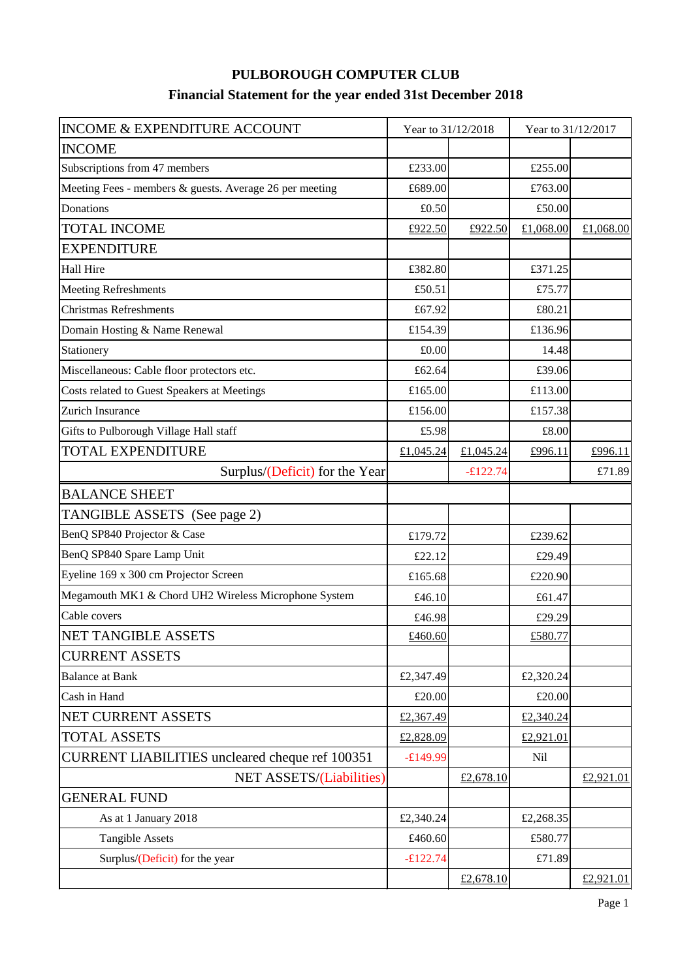## **PULBOROUGH COMPUTER CLUB Financial Statement for the year ended 31st December 2018**

| <b>INCOME &amp; EXPENDITURE ACCOUNT</b>                 | Year to 31/12/2018 |            | Year to 31/12/2017 |           |
|---------------------------------------------------------|--------------------|------------|--------------------|-----------|
| <b>INCOME</b>                                           |                    |            |                    |           |
| Subscriptions from 47 members                           | £233.00            |            | £255.00            |           |
| Meeting Fees - members & guests. Average 26 per meeting | £689.00            |            | £763.00            |           |
| Donations                                               | £0.50              |            | £50.00             |           |
| <b>TOTAL INCOME</b>                                     | £922.50            | £922.50    | £1,068.00          | £1,068.00 |
| <b>EXPENDITURE</b>                                      |                    |            |                    |           |
| Hall Hire                                               | £382.80            |            | £371.25            |           |
| <b>Meeting Refreshments</b>                             | £50.51             |            | £75.77             |           |
| <b>Christmas Refreshments</b>                           | £67.92             |            | £80.21             |           |
| Domain Hosting & Name Renewal                           | £154.39            |            | £136.96            |           |
| Stationery                                              | £0.00              |            | 14.48              |           |
| Miscellaneous: Cable floor protectors etc.              | £62.64             |            | £39.06             |           |
| Costs related to Guest Speakers at Meetings             | £165.00            |            | £113.00            |           |
| Zurich Insurance                                        | £156.00            |            | £157.38            |           |
| Gifts to Pulborough Village Hall staff                  | £5.98              |            | £8.00              |           |
| <b>TOTAL EXPENDITURE</b>                                | £1,045.24          | £1,045.24  | £996.11            | £996.11   |
| Surplus/(Deficit) for the Year                          |                    | $-£122.74$ |                    | £71.89    |
| <b>BALANCE SHEET</b>                                    |                    |            |                    |           |
| TANGIBLE ASSETS (See page 2)                            |                    |            |                    |           |
| BenQ SP840 Projector & Case                             | £179.72            |            | £239.62            |           |
| BenQ SP840 Spare Lamp Unit                              | £22.12             |            | £29.49             |           |
| Eyeline 169 x 300 cm Projector Screen                   | £165.68            |            | £220.90            |           |
| Megamouth MK1 & Chord UH2 Wireless Microphone System    | £46.10             |            | £61.47             |           |
| Cable covers                                            | £46.98             |            | £29.29             |           |
| <b>NET TANGIBLE ASSETS</b>                              | £460.60            |            | £580.77            |           |
| <b>CURRENT ASSETS</b>                                   |                    |            |                    |           |
| <b>Balance at Bank</b>                                  | £2,347.49          |            | £2,320.24          |           |
| Cash in Hand                                            | £20.00             |            | £20.00             |           |
| NET CURRENT ASSETS                                      | £2,367.49          |            | £2,340.24          |           |
| <b>TOTAL ASSETS</b>                                     | £2,828.09          |            | £2,921.01          |           |
| <b>CURRENT LIABILITIES</b> uncleared cheque ref 100351  | $-£149.99$         |            | Nil                |           |
| <b>NET ASSETS/(Liabilities)</b>                         |                    | £2,678.10  |                    | £2,921.01 |
| <b>GENERAL FUND</b>                                     |                    |            |                    |           |
| As at 1 January 2018                                    | £2,340.24          |            | £2,268.35          |           |
| <b>Tangible Assets</b>                                  | £460.60            |            | £580.77            |           |
| Surplus/(Deficit) for the year                          | $-£122.74$         |            | £71.89             |           |
|                                                         |                    | £2,678.10  |                    | £2,921.01 |
|                                                         |                    |            |                    | Page 1    |